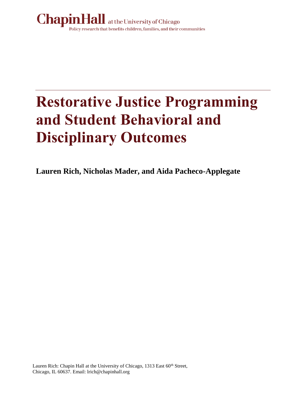

# **Restorative Justice Programming and Student Behavioral and Disciplinary Outcomes**

**Lauren Rich, Nicholas Mader, and Aida Pacheco-Applegate**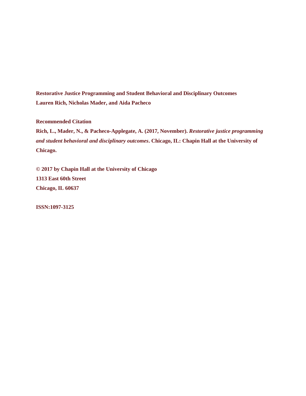**Restorative Justice Programming and Student Behavioral and Disciplinary Outcomes Lauren Rich, Nicholas Mader, and Aida Pacheco**

**Recommended Citation**

**Rich, L., Mader, N., & Pacheco-Applegate, A. (2017, November).** *Restorative justice programming and student behavioral and disciplinary outcomes***. Chicago, IL: Chapin Hall at the University of Chicago.**

**© 2017 by Chapin Hall at the University of Chicago 1313 East 60th Street Chicago, IL 60637**

**ISSN:1097-3125**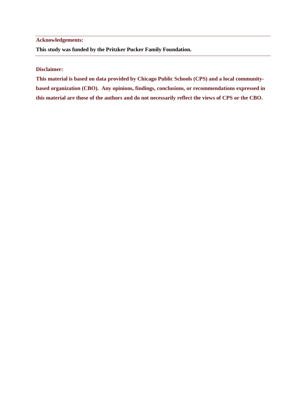#### **Acknowledgements:**

**This study was funded by the Pritzker Pucker Family Foundation.**

#### **Disclaimer:**

**This material is based on data provided by Chicago Public Schools (CPS) and a local communitybased organization (CBO). Any opinions, findings, conclusions, or recommendations expressed in this material are those of the authors and do not necessarily reflect the views of CPS or the CBO.**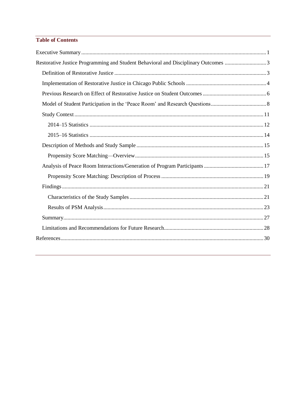#### **Table of Contents**

| Restorative Justice Programming and Student Behavioral and Disciplinary Outcomes 3 |  |
|------------------------------------------------------------------------------------|--|
|                                                                                    |  |
|                                                                                    |  |
|                                                                                    |  |
|                                                                                    |  |
|                                                                                    |  |
|                                                                                    |  |
|                                                                                    |  |
|                                                                                    |  |
|                                                                                    |  |
|                                                                                    |  |
|                                                                                    |  |
|                                                                                    |  |
|                                                                                    |  |
|                                                                                    |  |
|                                                                                    |  |
|                                                                                    |  |
|                                                                                    |  |
|                                                                                    |  |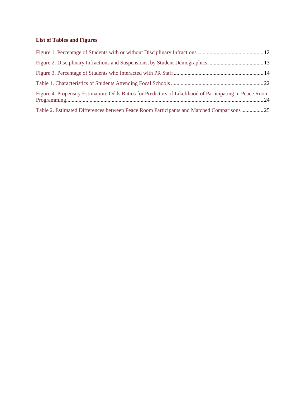## **List of Tables and Figures**

| Figure 4. Propensity Estimation: Odds Ratios for Predictors of Likelihood of Participating in Peace Room |  |
|----------------------------------------------------------------------------------------------------------|--|
| Table 2. Estimated Differences between Peace Room Participants and Matched Comparisons25                 |  |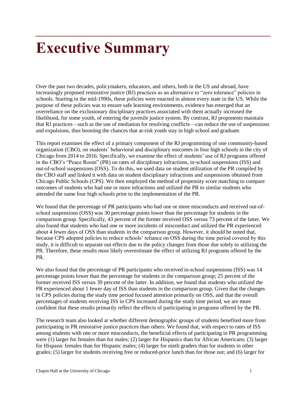## **Executive Summary**

Over the past two decades, policymakers, educators, and others, both in the US and abroad, have increasingly proposed restorative justice (RJ) practices as an alternative to "zero tolerance" policies in schools. Starting in the mid-1990s, these policies were enacted in almost every state in the US. While the purpose of these policies was to ensure safe learning environments, evidence has emerged that an overreliance on the exclusionary disciplinary practices associated with them actually increased the likelihood, for some youth, of entering the juvenile justice system. By contrast, RJ proponents maintain that RJ practices—such as the use of mediation for resolving conflicts—can reduce the use of suspensions and expulsions, thus boosting the chances that at-risk youth stay in high school and graduate.

This report examines the effect of a primary component of the RJ programming of one community-based organization (CBO), on students' behavioral and disciplinary outcomes in four high schools in the city of Chicago from 2014 to 2016. Specifically, we examine the effect of students' use of RJ programs offered in the CBO's "Peace Room" (PR) on rates of disciplinary infractions, in-school suspensions (ISS) and out-of-school suspensions (OSS). To do this, we used data on student utilization of the PR compiled by the CBO staff and linked it with data on student disciplinary infractions and suspensions obtained from Chicago Public Schools (CPS). We then employed the method of propensity score matching to compare outcomes of students who had one or more infractions and utilized the PR to similar students who attended the same four high schools prior to the implementation of the PR.

We found that the percentage of PR participants who had one or more misconducts and received out-ofschool suspensions (OSS) was 30 percentage points lower than the percentage for students in the comparison group. Specifically, 43 percent of the former received OSS versus 73 percent of the latter. We also found that students who had one or more incidents of misconduct and utilized the PR experienced about 4 fewer days of OSS than students in the comparison group. However, it should be noted that, because CPS adopted policies to reduce schools' reliance on OSS during the time period covered by this study, it is difficult to separate out effects due to the policy changes from those due solely to utilizing the PR. Therefore, these results most likely overestimate the effect of utilizing RJ programs offered by the PR.

We also found that the percentage of PR participants who received in-school suspensions (ISS) was 14 percentage points lower than the percentage for students in the comparison group; 25 percent of the former received ISS versus 39 percent of the latter. In addition, we found that students who utilized the PR experienced about 1 fewer day of ISS than students in the comparison group. Given that the changes in CPS policies during the study time period focused attention primarily on OSS, and that the overall percentages of students receiving ISS in CPS increased during the study time period, we are more confident that these results primarily reflect the effects of participating in programs offered by the PR.

The research team also looked at whether different demographic groups of students benefited more from participating in PR restorative justice practices than others. We found that, with respect to rates of ISS among students with one or more misconducts, the beneficial effects of participating in PR programming were (1) larger for females than for males; (2) larger for Hispanics than for African Americans; (3) larger for Hispanic females than for Hispanic males; (4) larger for ninth graders than for students in other grades; (5) larger for students receiving free or reduced-price lunch than for those not; and (6) larger for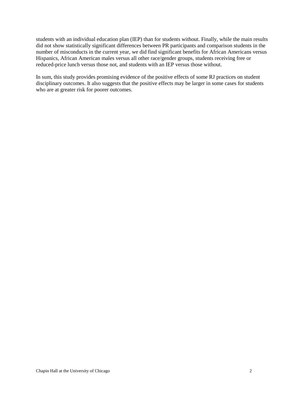students with an individual education plan (IEP) than for students without. Finally, while the main results did not show statistically significant differences between PR participants and comparison students in the number of misconducts in the current year, we did find significant benefits for African Americans versus Hispanics, African American males versus all other race/gender groups, students receiving free or reduced-price lunch versus those not, and students with an IEP versus those without.

In sum, this study provides promising evidence of the positive effects of some RJ practices on student disciplinary outcomes. It also suggests that the positive effects may be larger in some cases for students who are at greater risk for poorer outcomes.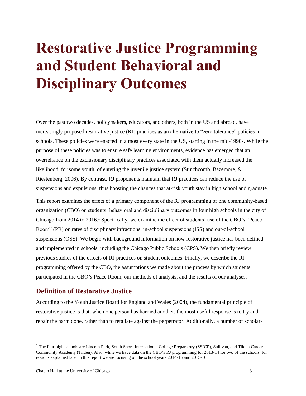## **Restorative Justice Programming and Student Behavioral and Disciplinary Outcomes**

Over the past two decades, policymakers, educators, and others, both in the US and abroad, have increasingly proposed restorative justice (RJ) practices as an alternative to "zero tolerance" policies in schools. These policies were enacted in almost every state in the US, starting in the mid-1990s. While the purpose of these policies was to ensure safe learning environments, evidence has emerged that an overreliance on the exclusionary disciplinary practices associated with them actually increased the likelihood, for some youth, of entering the juvenile justice system (Stinchcomb, Bazemore, & Riestenberg, 2006). By contrast, RJ proponents maintain that RJ practices can reduce the use of suspensions and expulsions, thus boosting the chances that at-risk youth stay in high school and graduate.

This report examines the effect of a primary component of the RJ programming of one community-based organization (CBO) on students' behavioral and disciplinary outcomes in four high schools in the city of Chicago from 2014 to 2016.<sup>1</sup> Specifically, we examine the effect of students' use of the CBO's "Peace Room" (PR) on rates of disciplinary infractions, in-school suspensions (ISS) and out-of-school suspensions (OSS). We begin with background information on how restorative justice has been defined and implemented in schools, including the Chicago Public Schools (CPS). We then briefly review previous studies of the effects of RJ practices on student outcomes. Finally, we describe the RJ programming offered by the CBO, the assumptions we made about the process by which students participated in the CBO's Peace Room, our methods of analysis, and the results of our analyses.

## **Definition of Restorative Justice**

According to the Youth Justice Board for England and Wales (2004), the fundamental principle of restorative justice is that, when one person has harmed another, the most useful response is to try and repair the harm done, rather than to retaliate against the perpetrator. Additionally, a number of scholars

<sup>&</sup>lt;sup>1</sup> The four high schools are Lincoln Park, South Shore International College Preparatory (SSICP), Sullivan, and Tilden Career Community Academy (Tilden). Also, while we have data on the CBO's RJ programming for 2013-14 for two of the schools, for reasons explained later in this report we are focusing on the school years 2014-15 and 2015-16.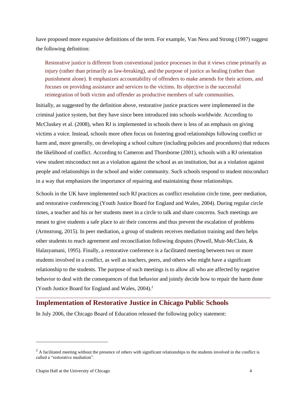have proposed more expansive definitions of the term. For example, Van Ness and Strong (1997) suggest the following definition:

Restorative justice is different from conventional justice processes in that it views crime primarily as injury (rather than primarily as law-breaking), and the purpose of justice as healing (rather than punishment alone). It emphasizes accountability of offenders to make amends for their actions, and focuses on providing assistance and services to the victims. Its objective is the successful reintegration of both victim and offender as productive members of safe communities.

Initially, as suggested by the definition above, restorative justice practices were implemented in the criminal justice system, but they have since been introduced into schools worldwide. According to McCluskey et al. (2008), when RJ is implemented in schools there is less of an emphasis on giving victims a voice. Instead, schools more often focus on fostering good relationships following conflict or harm and, more generally, on developing a school culture (including policies and procedures) that reduces the likelihood of conflict. According to Cameron and Thorsborne (2001), schools with a RJ orientation view student misconduct not as a violation against the school as an institution, but as a violation against people and relationships in the school and wider community. Such schools respond to student misconduct in a way that emphasizes the importance of repairing and maintaining those relationships.

Schools in the UK have implemented such RJ practices as conflict resolution circle time, peer mediation, and restorative conferencing (Youth Justice Board for England and Wales, 2004). During regular circle times, a teacher and his or her students meet in a circle to talk and share concerns. Such meetings are meant to give students a safe place to air their concerns and thus prevent the escalation of problems (Armstrong, 2015). In peer mediation, a group of students receives mediation training and then helps other students to reach agreement and reconciliation following disputes (Powell, Muir-McClain, & Halasyamani, 1995). Finally, a restorative conference is a facilitated meeting between two or more students involved in a conflict, as well as teachers, peers, and others who might have a significant relationship to the students. The purpose of such meetings is to allow all who are affected by negative behavior to deal with the consequences of that behavior and jointly decide how to repair the harm done (Youth Justice Board for England and Wales, 2004).<sup>2</sup>

### **Implementation of Restorative Justice in Chicago Public Schools**

In July 2006, the Chicago Board of Education released the following policy statement:

l

<sup>&</sup>lt;sup>2</sup> A facilitated meeting without the presence of others with significant relationships to the students involved in the conflict is called a "restorative mediation".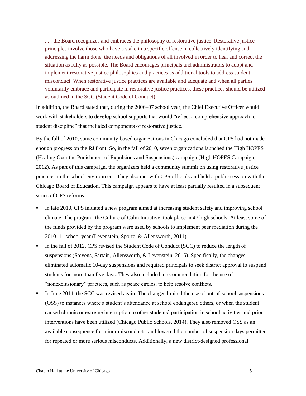. . . the Board recognizes and embraces the philosophy of restorative justice. Restorative justice principles involve those who have a stake in a specific offense in collectively identifying and addressing the harm done, the needs and obligations of all involved in order to heal and correct the situation as fully as possible. The Board encourages principals and administrators to adopt and implement restorative justice philosophies and practices as additional tools to address student misconduct. When restorative justice practices are available and adequate and when all parties voluntarily embrace and participate in restorative justice practices, these practices should be utilized as outlined in the SCC (Student Code of Conduct).

In addition, the Board stated that, during the 2006–07 school year, the Chief Executive Officer would work with stakeholders to develop school supports that would "reflect a comprehensive approach to student discipline" that included components of restorative justice.

By the fall of 2010, some community-based organizations in Chicago concluded that CPS had not made enough progress on the RJ front. So, in the fall of 2010, seven organizations launched the High HOPES (Healing Over the Punishment of Expulsions and Suspensions) campaign (High HOPES Campaign, 2012). As part of this campaign, the organizers held a community summit on using restorative justice practices in the school environment. They also met with CPS officials and held a public session with the Chicago Board of Education. This campaign appears to have at least partially resulted in a subsequent series of CPS reforms:

- In late 2010, CPS initiated a new program aimed at increasing student safety and improving school climate. The program, the Culture of Calm Initiative, took place in 47 high schools. At least some of the funds provided by the program were used by schools to implement peer mediation during the 2010–11 school year (Levenstein, Sporte, & Allensworth, 2011).
- In the fall of 2012, CPS revised the Student Code of Conduct (SCC) to reduce the length of suspensions (Stevens, Sartain, Allensworth, & Levenstein, 2015). Specifically, the changes eliminated automatic 10-day suspensions and required principals to seek district approval to suspend students for more than five days. They also included a recommendation for the use of "nonexclusionary" practices, such as peace circles, to help resolve conflicts.
- In June 2014, the SCC was revised again. The changes limited the use of out-of-school suspensions (OSS) to instances where a student's attendance at school endangered others, or when the student caused chronic or extreme interruption to other students' participation in school activities and prior interventions have been utilized (Chicago Public Schools, 2014). They also removed OSS as an available consequence for minor misconducts, and lowered the number of suspension days permitted for repeated or more serious misconducts. Additionally, a new district-designed professional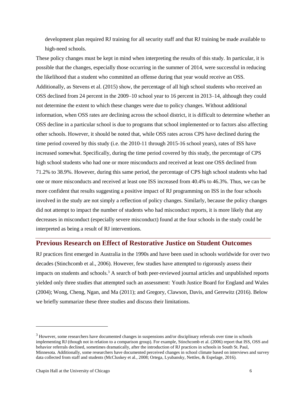development plan required RJ training for all security staff and that RJ training be made available to high-need schools.

These policy changes must be kept in mind when interpreting the results of this study. In particular, it is possible that the changes, especially those occurring in the summer of 2014, were successful in reducing the likelihood that a student who committed an offense during that year would receive an OSS. Additionally, as Stevens et al. (2015) show, the percentage of all high school students who received an OSS declined from 24 percent in the 2009–10 school year to 16 percent in 2013–14, although they could not determine the extent to which these changes were due to policy changes. Without additional information, when OSS rates are declining across the school district, it is difficult to determine whether an OSS decline in a particular school is due to programs that school implemented or to factors also affecting other schools. However, it should be noted that, while OSS rates across CPS have declined during the time period covered by this study (i.e. the 2010-11 through 2015-16 school years), rates of ISS have increased somewhat. Specifically, during the time period covered by this study, the percentage of CPS high school students who had one or more misconducts and received at least one OSS declined from 71.2% to 38.9%. However, during this same period, the percentage of CPS high school students who had one or more misconducts and received at least one ISS increased from 40.4% to 46.3%. Thus, we can be more confident that results suggesting a positive impact of RJ programming on ISS in the four schools involved in the study are not simply a reflection of policy changes. Similarly, because the policy changes did not attempt to impact the number of students who had misconduct reports, it is more likely that any decreases in misconduct (especially severe misconduct) found at the four schools in the study could be interpreted as being a result of RJ interventions.

## **Previous Research on Effect of Restorative Justice on Student Outcomes**

RJ practices first emerged in Australia in the 1990s and have been used in schools worldwide for over two decades (Stinchcomb et al., 2006). However, few studies have attempted to rigorously assess their impacts on students and schools.<sup>3</sup> A search of both peer-reviewed journal articles and unpublished reports yielded only three studies that attempted such an assessment: Youth Justice Board for England and Wales (2004); Wong, Cheng, Ngan, and Ma (2011); and Gregory, Clawson, Davis, and Gerewitz (2016). Below we briefly summarize these three studies and discuss their limitations.

<sup>&</sup>lt;sup>3</sup> However, some researchers have documented changes in suspensions and/or disciplinary referrals over time in schools implementing RJ (though not in relation to a comparison group). For example, Stinchcomb et al. (2006) report that ISS, OSS and behavior referrals declined, sometimes dramatically, after the introduction of RJ practices in schools in South St. Paul, Minnesota. Additionally, some researchers have documented perceived changes in school climate based on interviews and survey data collected from staff and students (McCluskey et al., 2008; Ortega, Lyubansky, Nettles, & Espelage, 2016).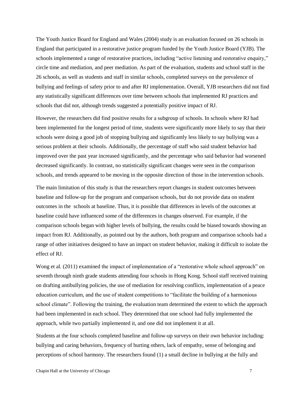The Youth Justice Board for England and Wales (2004) study is an evaluation focused on 26 schools in England that participated in a restorative justice program funded by the Youth Justice Board (YJB). The schools implemented a range of restorative practices, including "active listening and restorative enquiry," circle time and mediation, and peer mediation. As part of the evaluation, students and school staff in the 26 schools, as well as students and staff in similar schools, completed surveys on the prevalence of bullying and feelings of safety prior to and after RJ implementation. Overall, YJB researchers did not find any statistically significant differences over time between schools that implemented RJ practices and schools that did not, although trends suggested a potentially positive impact of RJ.

However, the researchers did find positive results for a subgroup of schools. In schools where RJ had been implemented for the longest period of time, students were significantly more likely to say that their schools were doing a good job of stopping bullying and significantly less likely to say bullying was a serious problem at their schools. Additionally, the percentage of staff who said student behavior had improved over the past year increased significantly, and the percentage who said behavior had worsened decreased significantly. In contrast, no statistically significant changes were seen in the comparison schools, and trends appeared to be moving in the opposite direction of those in the intervention schools.

The main limitation of this study is that the researchers report changes in student outcomes between baseline and follow-up for the program and comparison schools, but do not provide data on student outcomes in the schools at baseline. Thus, it is possible that differences in levels of the outcomes at baseline could have influenced some of the differences in changes observed. For example, if the comparison schools began with higher levels of bullying, the results could be biased towards showing an impact from RJ. Additionally, as pointed out by the authors, both program and comparison schools had a range of other initiatives designed to have an impact on student behavior, making it difficult to isolate the effect of RJ.

Wong et al. (2011) examined the impact of implementation of a "restorative whole school approach" on seventh through ninth grade students attending four schools in Hong Kong. School staff received training on drafting antibullying policies, the use of mediation for resolving conflicts, implementation of a peace education curriculum, and the use of student competitions to "facilitate the building of a harmonious school climate". Following the training, the evaluation team determined the extent to which the approach had been implemented in each school. They determined that one school had fully implemented the approach, while two partially implemented it, and one did not implement it at all.

Students at the four schools completed baseline and follow-up surveys on their own behavior including: bullying and caring behaviors, frequency of hurting others, lack of empathy, sense of belonging and perceptions of school harmony. The researchers found (1) a small decline in bullying at the fully and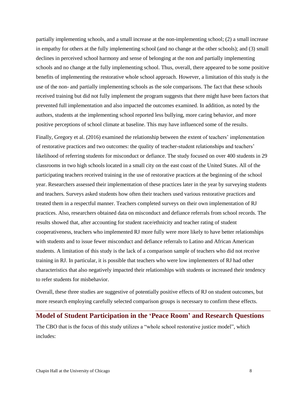partially implementing schools, and a small increase at the non-implementing school; (2) a small increase in empathy for others at the fully implementing school (and no change at the other schools); and (3) small declines in perceived school harmony and sense of belonging at the non and partially implementing schools and no change at the fully implementing school. Thus, overall, there appeared to be some positive benefits of implementing the restorative whole school approach. However, a limitation of this study is the use of the non- and partially implementing schools as the sole comparisons. The fact that these schools received training but did not fully implement the program suggests that there might have been factors that prevented full implementation and also impacted the outcomes examined. In addition, as noted by the authors, students at the implementing school reported less bullying, more caring behavior, and more positive perceptions of school climate at baseline. This may have influenced some of the results.

Finally, Gregory et al. (2016) examined the relationship between the extent of teachers' implementation of restorative practices and two outcomes: the quality of teacher-student relationships and teachers' likelihood of referring students for misconduct or defiance. The study focused on over 400 students in 29 classrooms in two high schools located in a small city on the east coast of the United States. All of the participating teachers received training in the use of restorative practices at the beginning of the school year. Researchers assessed their implementation of these practices later in the year by surveying students and teachers. Surveys asked students how often their teachers used various restorative practices and treated them in a respectful manner. Teachers completed surveys on their own implementation of RJ practices. Also, researchers obtained data on misconduct and defiance referrals from school records. The results showed that, after accounting for student race/ethnicity and teacher rating of student cooperativeness, teachers who implemented RJ more fully were more likely to have better relationships with students and to issue fewer misconduct and defiance referrals to Latino and African American students. A limitation of this study is the lack of a comparison sample of teachers who did not receive training in RJ. In particular, it is possible that teachers who were low implementers of RJ had other characteristics that also negatively impacted their relationships with students or increased their tendency to refer students for misbehavior.

Overall, these three studies are suggestive of potentially positive effects of RJ on student outcomes, but more research employing carefully selected comparison groups is necessary to confirm these effects.

### **Model of Student Participation in the 'Peace Room' and Research Questions**

The CBO that is the focus of this study utilizes a "whole school restorative justice model", which includes: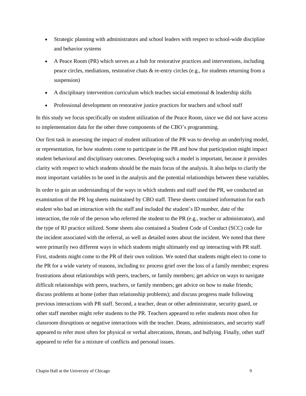- Strategic planning with administrators and school leaders with respect to school-wide discipline and behavior systems
- A Peace Room (PR) which serves as a hub for restorative practices and interventions, including peace circles, mediations, restorative chats & re-entry circles (e.g., for students returning from a suspension)
- $\bullet$  A disciplinary intervention curriculum which teaches social-emotional  $\&$  leadership skills
- Professional development on restorative justice practices for teachers and school staff

In this study we focus specifically on student utilization of the Peace Room, since we did not have access to implementation data for the other three components of the CBO's programming.

Our first task in assessing the impact of student utilization of the PR was to develop an underlying model, or representation, for how students come to participate in the PR and how that participation might impact student behavioral and disciplinary outcomes. Developing such a model is important, because it provides clarity with respect to which students should be the main focus of the analysis. It also helps to clarify the most important variables to be used in the analysis and the potential relationships between these variables.

In order to gain an understanding of the ways in which students and staff used the PR, we conducted an examination of the PR log sheets maintained by CBO staff. These sheets contained information for each student who had an interaction with the staff and included the student's ID number, date of the interaction, the role of the person who referred the student to the PR (e.g., teacher or administrator), and the type of RJ practice utilized. Some sheets also contained a Student Code of Conduct (SCC) code for the incident associated with the referral, as well as detailed notes about the incident. We noted that there were primarily two different ways in which students might ultimately end up interacting with PR staff. First, students might come to the PR of their own volition. We noted that students might elect to come to the PR for a wide variety of reasons, including to: process grief over the loss of a family member; express frustrations about relationships with peers, teachers, or family members; get advice on ways to navigate difficult relationships with peers, teachers, or family members; get advice on how to make friends; discuss problems at home (other than relationship problems); and discuss progress made following previous interactions with PR staff. Second, a teacher, dean or other administrator, security guard, or other staff member might refer students to the PR. Teachers appeared to refer students most often for classroom disruptions or negative interactions with the teacher. Deans, administrators, and security staff appeared to refer most often for physical or verbal altercations, threats, and bullying. Finally, other staff appeared to refer for a mixture of conflicts and personal issues.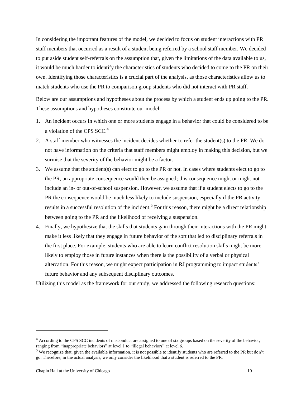In considering the important features of the model, we decided to focus on student interactions with PR staff members that occurred as a result of a student being referred by a school staff member. We decided to put aside student self-referrals on the assumption that, given the limitations of the data available to us, it would be much harder to identify the characteristics of students who decided to come to the PR on their own. Identifying those characteristics is a crucial part of the analysis, as those characteristics allow us to match students who use the PR to comparison group students who did not interact with PR staff.

Below are our assumptions and hypotheses about the process by which a student ends up going to the PR. These assumptions and hypotheses constitute our model:

- 1. An incident occurs in which one or more students engage in a behavior that could be considered to be a violation of the CPS  $SCC<sup>4</sup>$
- 2. A staff member who witnesses the incident decides whether to refer the student(s) to the PR. We do not have information on the criteria that staff members might employ in making this decision, but we surmise that the severity of the behavior might be a factor.
- 3. We assume that the student(s) can elect to go to the PR or not. In cases where students elect to go to the PR, an appropriate consequence would then be assigned; this consequence might or might not include an in- or out-of-school suspension. However, we assume that if a student elects to go to the PR the consequence would be much less likely to include suspension, especially if the PR activity results in a successful resolution of the incident.<sup>5</sup> For this reason, there might be a direct relationship between going to the PR and the likelihood of receiving a suspension.
- 4. Finally, we hypothesize that the skills that students gain through their interactions with the PR might make it less likely that they engage in future behavior of the sort that led to disciplinary referrals in the first place. For example, students who are able to learn conflict resolution skills might be more likely to employ those in future instances when there is the possibility of a verbal or physical altercation. For this reason, we might expect participation in RJ programming to impact students' future behavior and any subsequent disciplinary outcomes.

Utilizing this model as the framework for our study, we addressed the following research questions:

l

<sup>4</sup> According to the CPS SCC incidents of misconduct are assigned to one of six groups based on the severity of the behavior, ranging from "inappropriate behaviors" at level 1 to "illegal behaviors" at level 6.

<sup>&</sup>lt;sup>5</sup> We recognize that, given the available information, it is not possible to identify students who are referred to the PR but don't go. Therefore, in the actual analysis, we only consider the likelihood that a student is referred to the PR.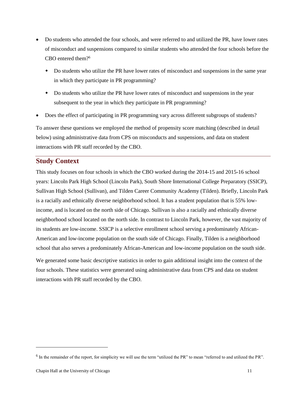- Do students who attended the four schools, and were referred to and utilized the PR, have lower rates of misconduct and suspensions compared to similar students who attended the four schools before the CBO entered them? 6
	- Do students who utilize the PR have lower rates of misconduct and suspensions in the same year in which they participate in PR programming?
	- Do students who utilize the PR have lower rates of misconduct and suspensions in the year subsequent to the year in which they participate in PR programming?
- Does the effect of participating in PR programming vary across different subgroups of students?

To answer these questions we employed the method of propensity score matching (described in detail below) using administrative data from CPS on misconducts and suspensions, and data on student interactions with PR staff recorded by the CBO.

## **Study Context**

This study focuses on four schools in which the CBO worked during the 2014-15 and 2015-16 school years: Lincoln Park High School (Lincoln Park), South Shore International College Preparatory (SSICP), Sullivan High School (Sullivan), and Tilden Career Community Academy (Tilden). Briefly, Lincoln Park is a racially and ethnically diverse neighborhood school. It has a student population that is 55% lowincome, and is located on the north side of Chicago. Sullivan is also a racially and ethnically diverse neighborhood school located on the north side. In contrast to Lincoln Park, however, the vast majority of its students are low-income. SSICP is a selective enrollment school serving a predominately African-American and low-income population on the south side of Chicago. Finally, Tilden is a neighborhood school that also serves a predominately African-American and low-income population on the south side.

We generated some basic descriptive statistics in order to gain additional insight into the context of the four schools. These statistics were generated using administrative data from CPS and data on student interactions with PR staff recorded by the CBO.

 $6$  In the remainder of the report, for simplicity we will use the term "utilized the PR" to mean "referred to and utilized the PR".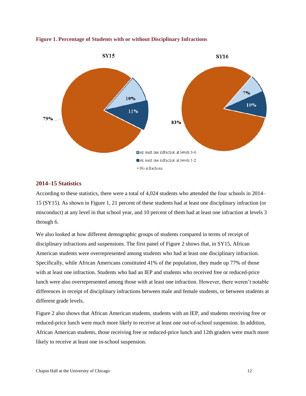

#### **Figure 1. Percentage of Students with or without Disciplinary Infractions**

#### **2014–15 Statistics**

According to these statistics, there were a total of 4,024 students who attended the four schools in 2014– 15 (SY15). As shown in Figure 1, 21 percent of these students had at least one disciplinary infraction (or misconduct) at any level in that school year, and 10 percent of them had at least one infraction at levels 3 through 6.

We also looked at how different demographic groups of students compared in terms of receipt of disciplinary infractions and suspensions. The first panel of Figure 2 shows that, in SY15, African American students were overrepresented among students who had at least one disciplinary infraction. Specifically, while African Americans constituted 41% of the population, they made up 77% of those with at least one infraction. Students who had an IEP and students who received free or reduced-price lunch were also overrepresented among those with at least one infraction. However, there weren't notable differences in receipt of disciplinary infractions between male and female students, or between students at different grade levels.

Figure 2 also shows that African American students, students with an IEP, and students receiving free or reduced-price lunch were much more likely to receive at least one out-of-school suspension. In addition, African American students, those receiving free or reduced-price lunch and 12th graders were much more likely to receive at least one in-school suspension.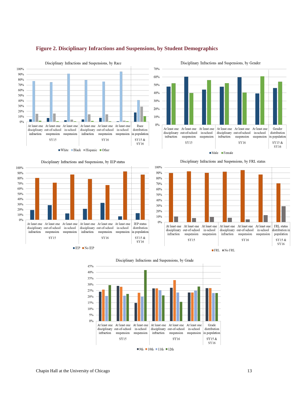

#### **Figure 2. Disciplinary Infractions and Suspensions, by Student Demographics**



 $60%$ 50% 40% 30% 20% 10%  $0%$ At least one At least one At least one At least one At least one At least one Gender distribution disciplinary out-of-school in-school disciplinary out-of-school in-school infraction suspension suspension infraction suspension suspension in population  $SY15$  ${\rm SY15}$  &  ${\rm SY16}$  ${\rm SY16}$  $\n *Male*\n *Female*\n$ Disciplinary Infractions and Suspensions, by FRL status

Disciplinary Infractions and Suspensions, by Gender



 $\blacksquare$  <br> FRL  $\blacksquare$  <br> No FRL



 $\blacksquare$ 9th $\blacksquare$ 10th $\blacksquare$ <br/> 11th $\blacksquare$ 12th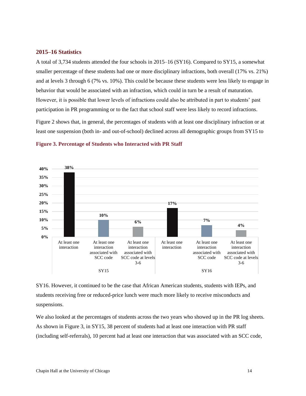#### **2015–16 Statistics**

A total of 3,734 students attended the four schools in 2015–16 (SY16). Compared to SY15, a somewhat smaller percentage of these students had one or more disciplinary infractions, both overall (17% vs. 21%) and at levels 3 through 6 (7% vs. 10%). This could be because these students were less likely to engage in behavior that would be associated with an infraction, which could in turn be a result of maturation. However, it is possible that lower levels of infractions could also be attributed in part to students' past participation in PR programming or to the fact that school staff were less likely to record infractions.

Figure 2 shows that, in general, the percentages of students with at least one disciplinary infraction or at least one suspension (both in- and out-of-school) declined across all demographic groups from SY15 to



**Figure 3. Percentage of Students who Interacted with PR Staff**

SY16. However, it continued to be the case that African American students, students with IEPs, and students receiving free or reduced-price lunch were much more likely to receive misconducts and suspensions.

We also looked at the percentages of students across the two years who showed up in the PR log sheets. As shown in Figure 3, in SY15, 38 percent of students had at least one interaction with PR staff (including self-referrals), 10 percent had at least one interaction that was associated with an SCC code,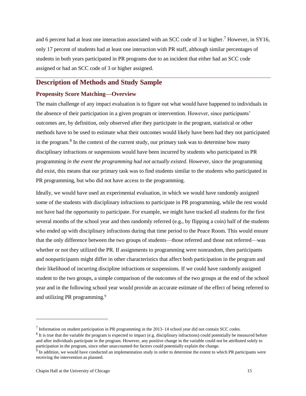and 6 percent had at least one interaction associated with an SCC code of 3 or higher.<sup>7</sup> However, in SY16, only 17 percent of students had at least one interaction with PR staff, although similar percentages of students in both years participated in PR programs due to an incident that either had an SCC code assigned or had an SCC code of 3 or higher assigned.

## **Description of Methods and Study Sample**

#### **Propensity Score Matching—Overview**

The main challenge of any impact evaluation is to figure out what would have happened to individuals in the absence of their participation in a given program or intervention. However, since participants' outcomes are, by definition, only observed after they participate in the program, statistical or other methods have to be used to estimate what their outcomes would likely have been had they not participated in the program.<sup>8</sup> In the context of the current study, our primary task was to determine how many disciplinary infractions or suspensions would have been incurred by students who participated in PR programming *in the event the programming had not actually existed*. However, since the programming did exist, this means that our primary task was to find students similar to the students who participated in PR programming, but who did not have access to the programming.

Ideally, we would have used an experimental evaluation, in which we would have randomly assigned some of the students with disciplinary infractions to participate in PR programming, while the rest would not have had the opportunity to participate. For example, we might have tracked all students for the first several months of the school year and then randomly referred (e.g., by flipping a coin) half of the students who ended up with disciplinary infractions during that time period to the Peace Room. This would ensure that the only difference between the two groups of students—those referred and those not referred—was whether or not they utilized the PR. If assignments to programming were nonrandom, then participants and nonparticipants might differ in other characteristics that affect both participation in the program and their likelihood of incurring discipline infractions or suspensions. If we could have randomly assigned student to the two groups, a simple comparison of the outcomes of the two groups at the end of the school year and in the following school year would provide an accurate estimate of the effect of being referred to and utilizing PR programming.<sup>9</sup>

 $<sup>7</sup>$  Information on student participation in PR programming in the 2013–14 school year did not contain SCC codes.</sup>

 $8$  It is true that the variable the program is expected to impact (e.g. disciplinary infractions) could potentially be measured before and after individuals participate in the program. However, any positive change in the variable could not be attributed solely to

participation in the program, since other unaccounted-for factors could potentially explain the change.<br><sup>9</sup> In addition, we would have conducted an implementation study in order to determine the extent to which PR particip receiving the intervention as planned.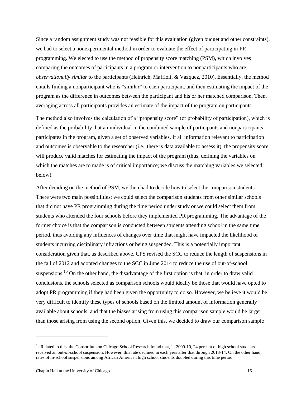Since a random assignment study was not feasible for this evaluation (given budget and other constraints), we had to select a nonexperimental method in order to evaluate the effect of participating in PR programming. We elected to use the method of propensity score matching (PSM), which involves comparing the outcomes of participants in a program or intervention to nonparticipants who are *observationally similar* to the participants (Heinrich, Maffioli, & Vazquez, 2010). Essentially, the method entails finding a nonparticipant who is "similar" to each participant, and then estimating the impact of the program as the difference in outcomes between the participant and his or her matched comparison. Then, averaging across all participants provides an estimate of the impact of the program on participants.

The method also involves the calculation of a "propensity score" (or probability of participation), which is defined as the probability that an individual in the combined sample of participants and nonparticipants participates in the program, given a set of observed variables. If all information relevant to participation and outcomes is observable to the researcher (i.e., there is data available to assess it), the propensity score will produce valid matches for estimating the impact of the program (thus, defining the variables on which the matches are to made is of critical importance; we discuss the matching variables we selected below).

After deciding on the method of PSM, we then had to decide how to select the comparison students. There were two main possibilities: we could select the comparison students from other similar schools that did not have PR programming during the time period under study or we could select them from students who attended the four schools before they implemented PR programming. The advantage of the former choice is that the comparison is conducted between students attending school in the same time period, thus avoiding any influences of changes over time that might have impacted the likelihood of students incurring disciplinary infractions or being suspended. This is a potentially important consideration given that, as described above, CPS revised the SCC to reduce the length of suspensions in the fall of 2012 and adopted changes to the SCC in June 2014 to reduce the use of out-of-school suspensions.<sup>10</sup> On the other hand, the disadvantage of the first option is that, in order to draw valid conclusions, the schools selected as comparison schools would ideally be those that would have opted to adopt PR programming if they had been given the opportunity to do so. However, we believe it would be very difficult to identify these types of schools based on the limited amount of information generally available about schools, and that the biases arising from using this comparison sample would be larger than those arising from using the second option. Given this, we decided to draw our comparison sample

 $10$  Related to this, the Consortium on Chicago School Research found that, in 2009-10, 24 percent of high school students received an out-of-school suspension. However, this rate declined in each year after that through 2013-14. On the other hand, rates of in-school suspensions among African American high school students doubled during this time period.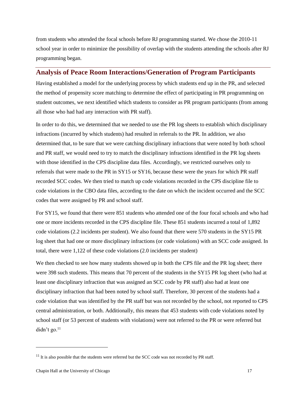from students who attended the focal schools before RJ programming started. We chose the 2010-11 school year in order to minimize the possibility of overlap with the students attending the schools after RJ programming began.

## **Analysis of Peace Room Interactions/Generation of Program Participants**

Having established a model for the underlying process by which students end up in the PR, and selected the method of propensity score matching to determine the effect of participating in PR programming on student outcomes, we next identified which students to consider as PR program participants (from among all those who had had any interaction with PR staff).

In order to do this, we determined that we needed to use the PR log sheets to establish which disciplinary infractions (incurred by which students) had resulted in referrals to the PR. In addition, we also determined that, to be sure that we were catching disciplinary infractions that were noted by both school and PR staff, we would need to try to match the disciplinary infractions identified in the PR log sheets with those identified in the CPS discipline data files. Accordingly, we restricted ourselves only to referrals that were made to the PR in SY15 or SY16, because these were the years for which PR staff recorded SCC codes. We then tried to match up code violations recorded in the CPS discipline file to code violations in the CBO data files, according to the date on which the incident occurred and the SCC codes that were assigned by PR and school staff.

For SY15, we found that there were 851 students who attended one of the four focal schools and who had one or more incidents recorded in the CPS discipline file. These 851 students incurred a total of 1,892 code violations (2.2 incidents per student). We also found that there were 570 students in the SY15 PR log sheet that had one or more disciplinary infractions (or code violations) with an SCC code assigned. In total, there were 1,122 of these code violations (2.0 incidents per student)

We then checked to see how many students showed up in both the CPS file and the PR log sheet; there were 398 such students. This means that 70 percent of the students in the SY15 PR log sheet (who had at least one disciplinary infraction that was assigned an SCC code by PR staff) also had at least one disciplinary infraction that had been noted by school staff. Therefore, 30 percent of the students had a code violation that was identified by the PR staff but was not recorded by the school, not reported to CPS central administration, or both. Additionally, this means that 453 students with code violations noted by school staff (or 53 percent of students with violations) were not referred to the PR or were referred but didn't go. $^{11}$ 

 $11$  It is also possible that the students were referred but the SCC code was not recorded by PR staff.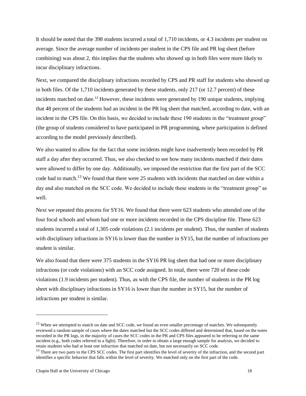It should be noted that the 398 students incurred a total of 1,710 incidents, or 4.3 incidents per student on average. Since the average number of incidents per student in the CPS file and PR log sheet (before combining) was about 2, this implies that the students who showed up in both files were more likely to incur disciplinary infractions.

Next, we compared the disciplinary infractions recorded by CPS and PR staff for students who showed up in both files. Of the 1,710 incidents generated by these students, only 217 (or 12.7 percent) of these incidents matched on date.<sup>12</sup> However, these incidents were generated by 190 unique students, implying that 48 percent of the students had an incident in the PR log sheet that matched, according to date, with an incident in the CPS file. On this basis, we decided to include these 190 students in the "treatment group" (the group of students considered to have participated in PR programming, where participation is defined according to the model previously described).

We also wanted to allow for the fact that some incidents might have inadvertently been recorded by PR staff a day after they occurred. Thus, we also checked to see how many incidents matched if their dates were allowed to differ by one day. Additionally, we imposed the restriction that the first part of the SCC code had to match.<sup>13</sup> We found that there were 25 students with incidents that matched on date within a day and also matched on the SCC code. We decided to include these students in the "treatment group" as well.

Next we repeated this process for SY16. We found that there were 623 students who attended one of the four focal schools and whom had one or more incidents recorded in the CPS discipline file. These 623 students incurred a total of 1,305 code violations (2.1 incidents per student). Thus, the number of students with disciplinary infractions in SY16 is lower than the number in SY15, but the number of infractions per student is similar.

We also found that there were 375 students in the SY16 PR log sheet that had one or more disciplinary infractions (or code violations) with an SCC code assigned. In total, there were 720 of these code violations (1.9 incidents per student). Thus, as with the CPS file, the number of students in the PR log sheet with disciplinary infractions in SY16 is lower than the number in SY15, but the number of infractions per student is similar.

l

<sup>&</sup>lt;sup>12</sup> When we attempted to match on date and SCC code, we found an even smaller percentage of matches. We subsequently reviewed a random sample of cases where the dates matched but the SCC codes differed and determined that, based on the notes recorded in the PR logs, in the majority of cases the SCC codes in the PR and CPS files appeared to be referring to the same incident (e.g., both codes referred to a fight). Therefore, in order to obtain a large enough sample for analysis, we decided to retain students who had at least one infraction that matched on date, but not necessarily on SCC code.

<sup>&</sup>lt;sup>13</sup> There are two parts to the CPS SCC codes. The first part identifies the level of severity of the infraction, and the second part identifies a specific behavior that falls within the level of severity. We matched only on the first part of the code.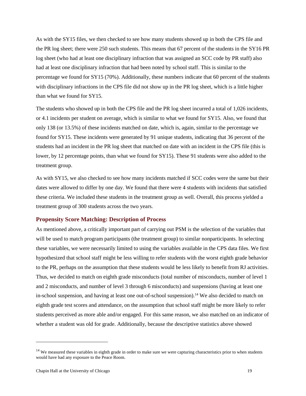As with the SY15 files, we then checked to see how many students showed up in both the CPS file and the PR log sheet; there were 250 such students. This means that 67 percent of the students in the SY16 PR log sheet (who had at least one disciplinary infraction that was assigned an SCC code by PR staff) also had at least one disciplinary infraction that had been noted by school staff. This is similar to the percentage we found for SY15 (70%). Additionally, these numbers indicate that 60 percent of the students with disciplinary infractions in the CPS file did not show up in the PR log sheet, which is a little higher than what we found for SY15.

The students who showed up in both the CPS file and the PR log sheet incurred a total of 1,026 incidents, or 4.1 incidents per student on average, which is similar to what we found for SY15. Also, we found that only 138 (or 13.5%) of these incidents matched on date, which is, again, similar to the percentage we found for SY15. These incidents were generated by 91 unique students, indicating that 36 percent of the students had an incident in the PR log sheet that matched on date with an incident in the CPS file (this is lower, by 12 percentage points, than what we found for SY15). These 91 students were also added to the treatment group.

As with SY15, we also checked to see how many incidents matched if SCC codes were the same but their dates were allowed to differ by one day. We found that there were 4 students with incidents that satisfied these criteria. We included these students in the treatment group as well. Overall, this process yielded a treatment group of 300 students across the two years.

#### **Propensity Score Matching: Description of Process**

As mentioned above, a critically important part of carrying out PSM is the selection of the variables that will be used to match program participants (the treatment group) to similar nonparticipants. In selecting these variables, we were necessarily limited to using the variables available in the CPS data files. We first hypothesized that school staff might be less willing to refer students with the worst eighth grade behavior to the PR, perhaps on the assumption that these students would be less likely to benefit from RJ activities. Thus, we decided to match on eighth grade misconducts (total number of misconducts, number of level 1 and 2 misconducts, and number of level 3 through 6 misconducts) and suspensions (having at least one in-school suspension, and having at least one out-of-school suspension).<sup>14</sup> We also decided to match on eighth grade test scores and attendance, on the assumption that school staff might be more likely to refer students perceived as more able and/or engaged. For this same reason, we also matched on an indicator of whether a student was old for grade. Additionally, because the descriptive statistics above showed

l

<sup>&</sup>lt;sup>14</sup> We measured these variables in eighth grade in order to make sure we were capturing characteristics prior to when students would have had any exposure to the Peace Room.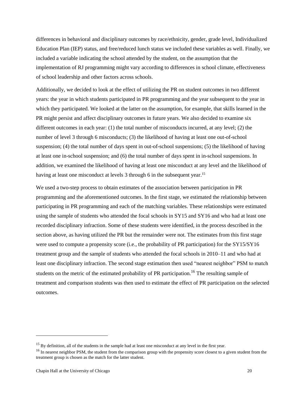differences in behavioral and disciplinary outcomes by race/ethnicity, gender, grade level, Individualized Education Plan (IEP) status, and free/reduced lunch status we included these variables as well. Finally, we included a variable indicating the school attended by the student, on the assumption that the implementation of RJ programming might vary according to differences in school climate, effectiveness of school leadership and other factors across schools.

Additionally, we decided to look at the effect of utilizing the PR on student outcomes in two different years: the year in which students participated in PR programming and the year subsequent to the year in which they participated. We looked at the latter on the assumption, for example, that skills learned in the PR might persist and affect disciplinary outcomes in future years. We also decided to examine six different outcomes in each year: (1) the total number of misconducts incurred, at any level; (2) the number of level 3 through 6 misconducts; (3) the likelihood of having at least one out-of-school suspension; (4) the total number of days spent in out-of-school suspensions; (5) the likelihood of having at least one in-school suspension; and (6) the total number of days spent in in-school suspensions. In addition, we examined the likelihood of having at least one misconduct at any level and the likelihood of having at least one misconduct at levels 3 through 6 in the subsequent year.<sup>15</sup>

We used a two-step process to obtain estimates of the association between participation in PR programming and the aforementioned outcomes. In the first stage, we estimated the relationship between participating in PR programming and each of the matching variables. These relationships were estimated using the sample of students who attended the focal schools in SY15 and SY16 and who had at least one recorded disciplinary infraction. Some of these students were identified, in the process described in the section above, as having utilized the PR but the remainder were not. The estimates from this first stage were used to compute a propensity score (i.e., the probability of PR participation) for the SY15/SY16 treatment group and the sample of students who attended the focal schools in 2010–11 and who had at least one disciplinary infraction. The second stage estimation then used "nearest neighbor" PSM to match students on the metric of the estimated probability of PR participation.<sup>16</sup> The resulting sample of treatment and comparison students was then used to estimate the effect of PR participation on the selected outcomes.

<sup>&</sup>lt;sup>15</sup> By definition, all of the students in the sample had at least one misconduct at any level in the first year.

<sup>&</sup>lt;sup>16</sup> In nearest neighbor PSM, the student from the comparison group with the propensity score closest to a given student from the treatment group is chosen as the match for the latter student.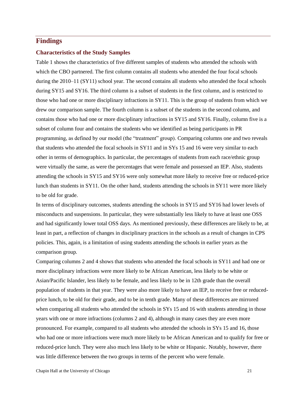## **Findings**

#### **Characteristics of the Study Samples**

Table 1 shows the characteristics of five different samples of students who attended the schools with which the CBO partnered. The first column contains all students who attended the four focal schools during the 2010–11 (SY11) school year. The second contains all students who attended the focal schools during SY15 and SY16. The third column is a subset of students in the first column, and is restricted to those who had one or more disciplinary infractions in SY11. This is the group of students from which we drew our comparison sample. The fourth column is a subset of the students in the second column, and contains those who had one or more disciplinary infractions in SY15 and SY16. Finally, column five is a subset of column four and contains the students who we identified as being participants in PR programming, as defined by our model (the "treatment" group). Comparing columns one and two reveals that students who attended the focal schools in SY11 and in SYs 15 and 16 were very similar to each other in terms of demographics. In particular, the percentages of students from each race/ethnic group were virtually the same, as were the percentages that were female and possessed an IEP. Also, students attending the schools in SY15 and SY16 were only somewhat more likely to receive free or reduced-price lunch than students in SY11. On the other hand, students attending the schools in SY11 were more likely to be old for grade.

In terms of disciplinary outcomes, students attending the schools in SY15 and SY16 had lower levels of misconducts and suspensions. In particular, they were substantially less likely to have at least one OSS and had significantly lower total OSS days. As mentioned previously, these differences are likely to be, at least in part, a reflection of changes in disciplinary practices in the schools as a result of changes in CPS policies. This, again, is a limitation of using students attending the schools in earlier years as the comparison group.

Comparing columns 2 and 4 shows that students who attended the focal schools in SY11 and had one or more disciplinary infractions were more likely to be African American, less likely to be white or Asian/Pacific Islander, less likely to be female, and less likely to be in 12th grade than the overall population of students in that year. They were also more likely to have an IEP, to receive free or reducedprice lunch, to be old for their grade, and to be in tenth grade. Many of these differences are mirrored when comparing all students who attended the schools in SYs 15 and 16 with students attending in those years with one or more infractions (columns 2 and 4), although in many cases they are even more pronounced. For example, compared to all students who attended the schools in SYs 15 and 16, those who had one or more infractions were much more likely to be African American and to qualify for free or reduced-price lunch. They were also much less likely to be white or Hispanic. Notably, however, there was little difference between the two groups in terms of the percent who were female.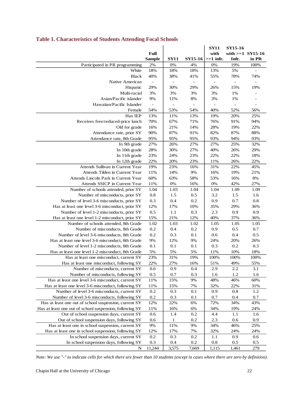|                                                                       |                          |             |                          | <b>SY11</b>              | SY15-16            |                   |
|-----------------------------------------------------------------------|--------------------------|-------------|--------------------------|--------------------------|--------------------|-------------------|
|                                                                       | Full                     |             |                          | with                     | with $>=1$ SY15-16 |                   |
|                                                                       | <b>Sample</b>            | <b>SY11</b> |                          | $SY15-16$ $\geq 1$ infr. | Infr.              | in PR             |
| Participated in PR programming                                        | 2%                       | 0%          | 4%                       | 0%                       | 19%                | 100%              |
| White                                                                 | 18%                      | 18%         | 18%                      | 13%                      | 5%                 |                   |
| <b>Black</b>                                                          | 40%                      | 38%         | 41%                      | 55%                      | 78%                | 74%               |
| Native American                                                       |                          |             | $\overline{\phantom{a}}$ | ÷                        | ÷,                 |                   |
| Hispanic                                                              | 29%                      | 30%         | 29%                      | 26%                      | 15%                | 19%               |
| Multi-racial                                                          | 3%                       | 3%          | 3%                       | 3%                       | 1%                 |                   |
| Asian/Pacific islander                                                | 9%                       | 11%         | 8%                       | 3%                       | 1%                 |                   |
| Hawaiian/Pacific Islander                                             | $\overline{\phantom{a}}$ |             |                          | $\overline{\phantom{a}}$ | ÷                  | $\qquad \qquad -$ |
| Female                                                                | 54%                      | 53%         | 54%                      | 40%                      | 52%                | 56%               |
| Has IEP                                                               | 13%                      | 11%         | 13%                      | 19%                      | 20%                | 25%               |
| Receives free/reduced-price lunch                                     | 70%                      | 67%         | 71%                      | 76%                      | 91%                | 94%               |
| Old for grade                                                         | 16%                      | 21%         | 14%                      | 28%                      | 19%                | 22%               |
| Attendance rate, prior SY                                             | 90%                      | 87%         | 91%                      | 82%                      | 87%                | 88%               |
| Attendance rate, 8th Grade                                            | 95%                      | 95%         | 95%                      | 93%                      | 94%                | 93%               |
| In 9th grade                                                          | 27%                      | 26%         | 27%                      | 27%                      | 25%                | 32%               |
| In 10th grade                                                         | 28%                      | 30%         | 27%                      | 40%                      | 26%                | 29%               |
| In 11th grade                                                         | 23%                      | 24%         | 23%                      | 22%                      | 22%                | 18%               |
| In 12th grade                                                         | 22%                      | 20%         | 23%                      | 11%                      | 26%                | 22%               |
| Attends Sullivan in Current Year                                      | 19%                      | 23%         | 16%                      | 31%                      | 22%                | 45%               |
| Attends Tilden in Current Year                                        | 11%                      | 14%         | 9%                       | 16%                      | 19%                | 21%               |
| Attends Lincoln Park in Current Year<br>Attends SSICP in Current Year | 60%                      | 63%<br>0%   | 58%<br>16%               | 53%<br>0%                | 16%<br>42%         | 8%<br>27%         |
| Number of schools attended, prior SY                                  | 11%<br>1.04              | 1.03        | 1.04                     | 1.04                     | 1.09               | 1.09              |
| Number of misconducts, prior SY                                       | 0.8                      | 1.5         | 0.5                      | 3.2                      | 1.5                | 1.6               |
| Number of level 3-6 misconducts, prior SY                             | 0.3                      | 0.4         | 0.2                      | 0.9                      | 0.7                | 0.8               |
| Has at least one level 3-6 misconduct, prior SY                       | 12%                      | 17%         | 10%                      | 35%                      | 29%                | 36%               |
| Number of level 1-2 misconducts, prior SY                             | 0.5                      | 1.1         | 0.3                      | 2.3                      | 0.9                | 0.9               |
| Has at least one level 1-2 misconduct, prior SY                       | 15%                      | 21%         | 12%                      | 40%                      | 37%                | 36%               |
| Number of schools attended, 8th Grade                                 | 1.02                     | 1.03        | 1.02                     | 1.05                     | 1.05               | 1.05              |
| Number of misconducts, 8th Grade                                      | 0.2                      | 0.4         | 0.2                      | 0.9                      | 0.5                | 0.7               |
| Number of level 3-6 misconducts, 8th Grade                            | 0.2                      | 0.3         | 0.1                      | 0.6                      | 0.4                | 0.5               |
| Has at least one level 3-6 misconduct, 8th Grade                      | 9%                       | 12%         | 9%                       | 24%                      | 20%                | 26%               |
| Number of level 1-2 misconducts, 8th Grade                            | 0.1                      | 0.1         | 0.1                      | 0.3                      | 0.2                | 0.3               |
| Has at least one level 1-2 misconduct, 8th Grade                      | 5%                       | 5%          | 5%                       | 11%                      | 10%                | 18%               |
| Has at least one misconduct, current SY                               | 23%                      | 31%         | 19%                      | 100%                     | 100%               | 100%              |
| Has at least one misconduct, following SY                             | 22%                      | 27%         | 16%                      | 51%                      | 49%                | 55%               |
| Number of misconducts, current SY                                     | 0.6                      | 0.9         | 0.4                      | 2.9                      | 2.2                | 3.1               |
| Number of misconducts, following SY                                   | 0.5                      | 0.7         | 0.3                      | 1.6                      | 1.2                | 1.6               |
| Has at least one level 3-6 misconduct, current SY                     | 11%                      | 15%         | 9%                       | 48%                      | 46%                | 60%               |
| Has at least one level 3-6 misconduct, following SY                   | 11%                      | 15%         | 7%                       | 32%                      | 22%                | 31%               |
| Number of level 3-6 misconducts, current SY                           | 0.2                      | 0.3         | 0.1                      | 0.9                      | 0.8                | 1.2               |
| Number of level 3-6 misconducts, following SY                         | 0.2                      | 0.3         | 0.1                      | 0.7                      | 0.4                | 0.7               |
| Has at least one out of school suspension, current SY                 | 12%                      | 22%         | 6%                       | 72%                      | 34%                | 43%               |
| Has at least one out of school suspension, following SY               | 11%                      | 16%         | 6%                       | 34%                      | 19%                | 24%               |
| Out of school suspension days, current SY                             | 0.6                      | 1.4         | 0.2                      | 4.4                      | 1.1                | 1.6               |
| Out of school suspension days, following SY                           | 0.6                      | 1           | 0.2                      | 2.3                      | 0.6                | 0.9               |
| Has at least one in school suspension, current SY                     | 9%                       | 11%         | 9%                       | 34%                      | 46%                | 25%               |
| Has at least one in school suspension, following SY                   | 12%                      | 17%         | 7%                       | 32%                      | 24%                | 24%               |
| In school suspension days, current SY                                 | 0.2                      | 0.3         | 0.2                      | 1.1                      | 0.9                | 0.6               |
| In school suspension days, following SY                               | 0.3                      | 0.4         | 0.2                      | $0.8\,$                  | 0.5                | 0.5               |
| $\mathbf N$                                                           | 11,244                   | 3,575       | 7,669                    | 1,115                    | 1,461              | 279               |

## **Table 1. Characteristics of Students Attending Focal Schools**

*Note: We use "-" to indicate cells for which there are fewer than 10 students (except in cases where there are zero by definition).*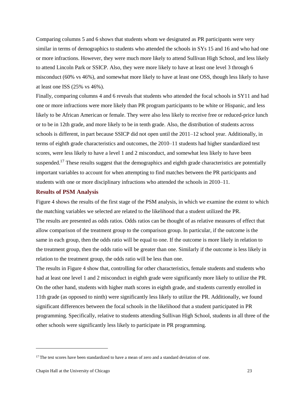Comparing columns 5 and 6 shows that students whom we designated as PR participants were very similar in terms of demographics to students who attended the schools in SYs 15 and 16 and who had one or more infractions. However, they were much more likely to attend Sullivan High School, and less likely to attend Lincoln Park or SSICP. Also, they were more likely to have at least one level 3 through 6 misconduct (60% vs 46%), and somewhat more likely to have at least one OSS, though less likely to have at least one ISS (25% vs 46%).

Finally, comparing columns 4 and 6 reveals that students who attended the focal schools in SY11 and had one or more infractions were more likely than PR program participants to be white or Hispanic, and less likely to be African American or female. They were also less likely to receive free or reduced-price lunch or to be in 12th grade, and more likely to be in tenth grade. Also, the distribution of students across schools is different, in part because SSICP did not open until the 2011–12 school year. Additionally, in terms of eighth grade characteristics and outcomes, the 2010–11 students had higher standardized test scores, were less likely to have a level 1 and 2 misconduct, and somewhat less likely to have been suspended.<sup>17</sup> These results suggest that the demographics and eighth grade characteristics are potentially important variables to account for when attempting to find matches between the PR participants and students with one or more disciplinary infractions who attended the schools in 2010–11.

#### **Results of PSM Analysis**

Figure 4 shows the results of the first stage of the PSM analysis, in which we examine the extent to which the matching variables we selected are related to the likelihood that a student utilized the PR. The results are presented as odds ratios. Odds ratios can be thought of as relative measures of effect that allow comparison of the treatment group to the comparison group. In particular, if the outcome is the same in each group, then the odds ratio will be equal to one. If the outcome is more likely in relation to the treatment group, then the odds ratio will be greater than one. Similarly if the outcome is less likely in relation to the treatment group, the odds ratio will be less than one.

The results in Figure 4 show that, controlling for other characteristics, female students and students who had at least one level 1 and 2 misconduct in eighth grade were significantly more likely to utilize the PR. On the other hand, students with higher math scores in eighth grade, and students currently enrolled in 11th grade (as opposed to ninth) were significantly less likely to utilize the PR. Additionally, we found significant differences between the focal schools in the likelihood that a student participated in PR programming. Specifically, relative to students attending Sullivan High School, students in all three of the other schools were significantly less likely to participate in PR programming.

l

<sup>&</sup>lt;sup>17</sup> The test scores have been standardized to have a mean of zero and a standard deviation of one.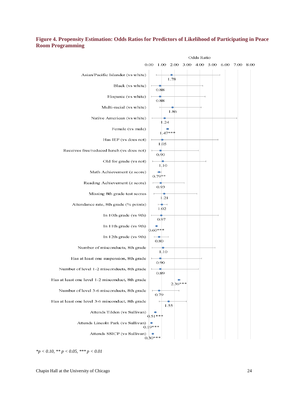#### **Figure 4. Propensity Estimation: Odds Ratios for Predictors of Likelihood of Participating in Peace Room Programming**



*<sup>\*</sup>p < 0.10, \*\* p < 0.05, \*\*\* p < 0.01*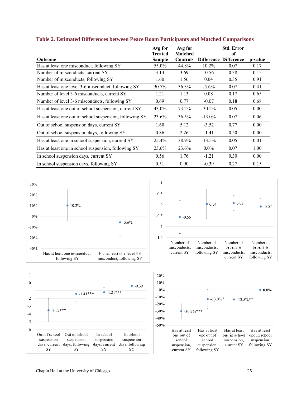|                                                         | Avg for<br><b>Treated</b> | Avg for<br>Matched |           | <b>Std. Error</b><br>оf      |         |
|---------------------------------------------------------|---------------------------|--------------------|-----------|------------------------------|---------|
| <b>Outcome</b>                                          | Sample                    | <b>Controls</b>    |           | <b>Difference Difference</b> | p-value |
| Has at least one misconduct, following SY               | 55.0%                     | 44.8%              | $10.2\%$  | 0.07                         | 0.17    |
| Number of misconducts, current SY                       | 3.13                      | 3.69               | $-0.56$   | 0.38                         | 0.15    |
| Number of misconducts, following SY                     | 1.60                      | 1.56               | 0.04      | 0.35                         | 0.91    |
| Has at least one level 3-6 misconduct, following SY     | 30.7%                     | 36.3%              | $-5.6\%$  | 0.07                         | 0.41    |
| Number of level 3-6 misconducts, current SY             | 1.21                      | 1.13               | 0.08      | 0.17                         | 0.65    |
| Number of level 3-6 misconducts, following SY           | 0.69                      | 0.77               | $-0.07$   | 0.18                         | 0.68    |
| Has at least one out of school suspension, current SY   | 43.0%                     | 73.2%              | $-30.2\%$ | 0.05                         | 0.00    |
| Has at least one out of school suspension, following SY | 23.6%                     | 36.5%              | $-13.0\%$ | 0.07                         | 0.06    |
| Out of school suspension days, current SY               | 1.60                      | 5.12               | $-3.52$   | 0.77                         | 0.00    |
| Out of school suspension days, following SY             | 0.86                      | 2.26               | $-1.41$   | 0.50                         | 0.00    |
| Has at least one in school suspension, current SY       | 25.4%                     | 38.9%              | $-13.5%$  | 0.05                         | 0.01    |
| Has at least one in school suspension, following SY     | 23.6%                     | 23.6%              | $0.0\%$   | 0.07                         | 1.00    |
| In school suspension days, current SY                   | 0.56                      | 1.76               | $-1.21$   | 0.30                         | 0.00    |
| In school suspension days, following SY                 | 0.51                      | 0.90               | $-0.39$   | 0.27                         | 0.15    |

#### **Table 2. Estimated Differences between Peace Room Participants and Matched Comparisons**







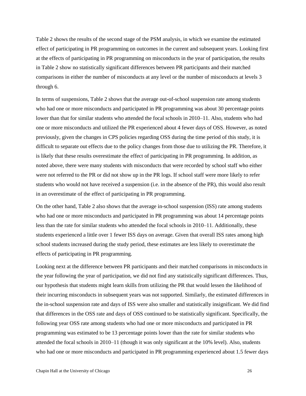Table 2 shows the results of the second stage of the PSM analysis, in which we examine the estimated effect of participating in PR programming on outcomes in the current and subsequent years. Looking first at the effects of participating in PR programming on misconducts in the year of participation, the results in Table 2 show no statistically significant differences between PR participants and their matched comparisons in either the number of misconducts at any level or the number of misconducts at levels 3 through 6.

In terms of suspensions, Table 2 shows that the average out-of-school suspension rate among students who had one or more misconducts and participated in PR programming was about 30 percentage points lower than that for similar students who attended the focal schools in 2010–11. Also, students who had one or more misconducts and utilized the PR experienced about 4 fewer days of OSS. However, as noted previously, given the changes in CPS policies regarding OSS during the time period of this study, it is difficult to separate out effects due to the policy changes from those due to utilizing the PR. Therefore, it is likely that these results overestimate the effect of participating in PR programming. In addition, as noted above, there were many students with misconducts that were recorded by school staff who either were not referred to the PR or did not show up in the PR logs. If school staff were more likely to refer students who would not have received a suspension (i.e. in the absence of the PR), this would also result in an overestimate of the effect of participating in PR programming.

On the other hand, Table 2 also shows that the average in-school suspension (ISS) rate among students who had one or more misconducts and participated in PR programming was about 14 percentage points less than the rate for similar students who attended the focal schools in 2010–11. Additionally, these students experienced a little over 1 fewer ISS days on average. Given that overall ISS rates among high school students increased during the study period, these estimates are less likely to overestimate the effects of participating in PR programming.

Looking next at the difference between PR participants and their matched comparisons in misconducts in the year following the year of participation, we did not find any statistically significant differences. Thus, our hypothesis that students might learn skills from utilizing the PR that would lessen the likelihood of their incurring misconducts in subsequent years was not supported. Similarly, the estimated differences in the in-school suspension rate and days of ISS were also smaller and statistically insignificant. We did find that differences in the OSS rate and days of OSS continued to be statistically significant. Specifically, the following year OSS rate among students who had one or more misconducts and participated in PR programming was estimated to be 13 percentage points lower than the rate for similar students who attended the focal schools in 2010–11 (though it was only significant at the 10% level). Also, students who had one or more misconducts and participated in PR programming experienced about 1.5 fewer days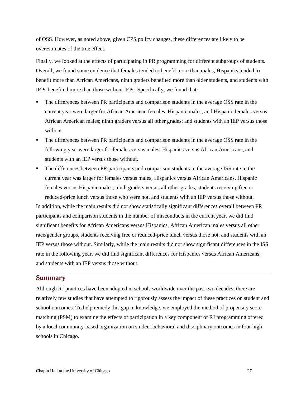of OSS. However, as noted above, given CPS policy changes, these differences are likely to be overestimates of the true effect.

Finally, we looked at the effects of participating in PR programming for different subgroups of students. Overall, we found some evidence that females tended to benefit more than males, Hispanics tended to benefit more than African Americans, ninth graders benefited more than older students, and students with IEPs benefited more than those without IEPs. Specifically, we found that:

- The differences between PR participants and comparison students in the average OSS rate in the current year were larger for African American females, Hispanic males, and Hispanic females versus African American males; ninth graders versus all other grades; and students with an IEP versus those without.
- The differences between PR participants and comparison students in the average OSS rate in the following year were larger for females versus males, Hispanics versus African Americans, and students with an IEP versus those without.
- The differences between PR participants and comparison students in the average ISS rate in the current year was larger for females versus males, Hispanics versus African Americans, Hispanic females versus Hispanic males, ninth graders versus all other grades, students receiving free or reduced-price lunch versus those who were not, and students with an IEP versus those without.

In addition, while the main results did not show statistically significant differences overall between PR participants and comparison students in the number of misconducts in the current year, we did find significant benefits for African Americans versus Hispanics, African American males versus all other race/gender groups, students receiving free or reduced-price lunch versus those not, and students with an IEP versus those without. Similarly, while the main results did not show significant differences in the ISS rate in the following year, we did find significant differences for Hispanics versus African Americans, and students with an IEP versus those without.

#### **Summary**

Although RJ practices have been adopted in schools worldwide over the past two decades, there are relatively few studies that have attempted to rigorously assess the impact of these practices on student and school outcomes. To help remedy this gap in knowledge, we employed the method of propensity score matching (PSM) to examine the effects of participation in a key component of RJ programming offered by a local community-based organization on student behavioral and disciplinary outcomes in four high schools in Chicago.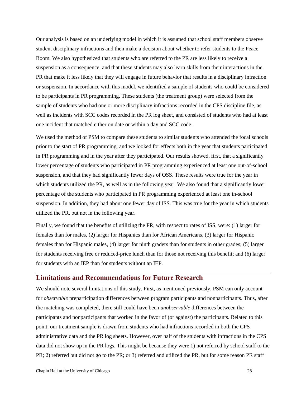Our analysis is based on an underlying model in which it is assumed that school staff members observe student disciplinary infractions and then make a decision about whether to refer students to the Peace Room. We also hypothesized that students who are referred to the PR are less likely to receive a suspension as a consequence, and that these students may also learn skills from their interactions in the PR that make it less likely that they will engage in future behavior that results in a disciplinary infraction or suspension. In accordance with this model, we identified a sample of students who could be considered to be participants in PR programming. These students (the treatment group) were selected from the sample of students who had one or more disciplinary infractions recorded in the CPS discipline file, as well as incidents with SCC codes recorded in the PR log sheet, and consisted of students who had at least one incident that matched either on date or within a day and SCC code.

We used the method of PSM to compare these students to similar students who attended the focal schools prior to the start of PR programming, and we looked for effects both in the year that students participated in PR programming and in the year after they participated. Our results showed, first, that a significantly lower percentage of students who participated in PR programming experienced at least one out-of-school suspension, and that they had significantly fewer days of OSS. These results were true for the year in which students utilized the PR, as well as in the following year. We also found that a significantly lower percentage of the students who participated in PR programming experienced at least one in-school suspension. In addition, they had about one fewer day of ISS. This was true for the year in which students utilized the PR, but not in the following year.

Finally, we found that the benefits of utilizing the PR, with respect to rates of ISS, were: (1) larger for females than for males, (2) larger for Hispanics than for African Americans, (3) larger for Hispanic females than for Hispanic males, (4) larger for ninth graders than for students in other grades; (5) larger for students receiving free or reduced-price lunch than for those not receiving this benefit; and (6) larger for students with an IEP than for students without an IEP.

#### **Limitations and Recommendations for Future Research**

We should note several limitations of this study. First, as mentioned previously, PSM can only account for *observable* preparticipation differences between program participants and nonparticipants. Thus, after the matching was completed, there still could have been *unobservable* differences between the participants and nonparticipants that worked in the favor of (or against) the participants. Related to this point, our treatment sample is drawn from students who had infractions recorded in both the CPS administrative data and the PR log sheets. However, over half of the students with infractions in the CPS data did not show up in the PR logs. This might be because they were 1) not referred by school staff to the PR; 2) referred but did not go to the PR; or 3) referred and utilized the PR, but for some reason PR staff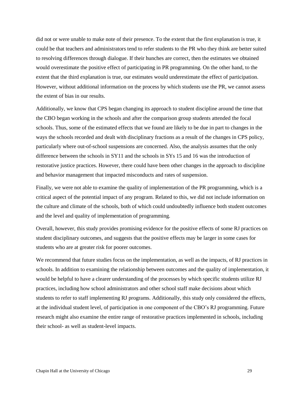did not or were unable to make note of their presence. To the extent that the first explanation is true, it could be that teachers and administrators tend to refer students to the PR who they think are better suited to resolving differences through dialogue. If their hunches are correct, then the estimates we obtained would overestimate the positive effect of participating in PR programming. On the other hand, to the extent that the third explanation is true, our estimates would underestimate the effect of participation. However, without additional information on the process by which students use the PR, we cannot assess the extent of bias in our results.

Additionally, we know that CPS began changing its approach to student discipline around the time that the CBO began working in the schools and after the comparison group students attended the focal schools. Thus, some of the estimated effects that we found are likely to be due in part to changes in the ways the schools recorded and dealt with disciplinary fractions as a result of the changes in CPS policy, particularly where out-of-school suspensions are concerned. Also, the analysis assumes that the only difference between the schools in SY11 and the schools in SYs 15 and 16 was the introduction of restorative justice practices. However, there could have been other changes in the approach to discipline and behavior management that impacted misconducts and rates of suspension.

Finally, we were not able to examine the quality of implementation of the PR programming, which is a critical aspect of the potential impact of any program. Related to this, we did not include information on the culture and climate of the schools, both of which could undoubtedly influence both student outcomes and the level and quality of implementation of programming.

Overall, however, this study provides promising evidence for the positive effects of some RJ practices on student disciplinary outcomes, and suggests that the positive effects may be larger in some cases for students who are at greater risk for poorer outcomes.

We recommend that future studies focus on the implementation, as well as the impacts, of RJ practices in schools. In addition to examining the relationship between outcomes and the quality of implementation, it would be helpful to have a clearer understanding of the processes by which specific students utilize RJ practices, including how school administrators and other school staff make decisions about which students to refer to staff implementing RJ programs. Additionally, this study only considered the effects, at the individual student level, of participation in one component of the CBO's RJ programming. Future research might also examine the entire range of restorative practices implemented in schools, including their school- as well as student-level impacts.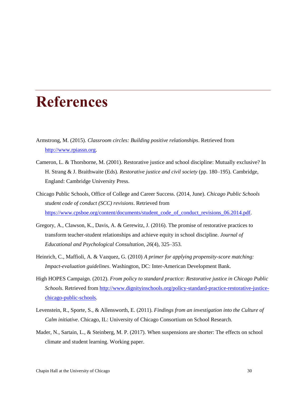## **References**

- Armstrong, M. (2015). *Classroom circles: Building positive relationships*. Retrieved from [http://www.rpiassn.org.](http://www.rpiassn.org/)
- Cameron, L. & Thorsborne, M. (2001). Restorative justice and school discipline: Mutually exclusive? In H. Strang & J. Braithwaite (Eds). *Restorative justice and civil society* (pp. 180–195). Cambridge, England: Cambridge University Press.
- Chicago Public Schools, Office of College and Career Success. (2014, June). *Chicago Public Schools student code of conduct (SCC) revisions*. Retrieved from [https://www.cpsboe.org/content/documents/student\\_code\\_of\\_conduct\\_revisions\\_06.2014.pdf.](https://www.cpsboe.org/content/documents/student_code_of_conduct_revisions_06.2014.pdf)
- Gregory, A., Clawson, K., Davis, A. & Gerewitz, J. (2016). The promise of restorative practices to transform teacher-student relationships and achieve equity in school discipline. *Journal of Educational and Psychological Consultation*, *26*(4), 325–353.
- Heinrich, C., Maffioli, A. & Vazquez, G. (2010) *A primer for applying propensity-score matching: Impact-evaluation guidelines*. Washington, DC: Inter-American Development Bank.
- High HOPES Campaign. (2012). *From policy to standard practice: Restorative justice in Chicago Public Schools*. Retrieved from [http://www.dignityinschools.org/policy-standard-practice-restorative-justice](http://www.dignityinschools.org/policy-standard-practice-restorative-justice-chicago-public-schools)[chicago-public-schools.](http://www.dignityinschools.org/policy-standard-practice-restorative-justice-chicago-public-schools)
- Levenstein, R., Sporte, S., & Allensworth, E. (2011). *Findings from an investigation into the Culture of Calm initiative*. Chicago, IL: University of Chicago Consortium on School Research.
- Mader, N., Sartain, L., & Steinberg, M. P. (2017). When suspensions are shorter: The effects on school climate and student learning. Working paper.